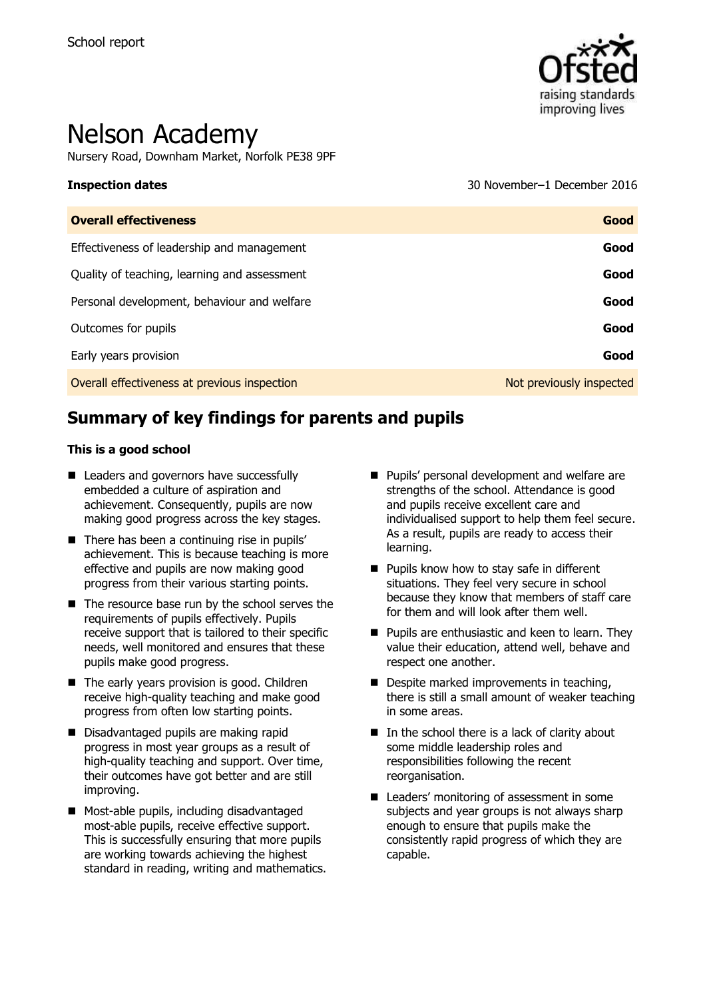

# Nelson Academy

Nursery Road, Downham Market, Norfolk PE38 9PF

**Inspection dates** 30 November–1 December 2016

| <b>Overall effectiveness</b>                 | Good                     |
|----------------------------------------------|--------------------------|
| Effectiveness of leadership and management   | Good                     |
| Quality of teaching, learning and assessment | Good                     |
| Personal development, behaviour and welfare  | Good                     |
| Outcomes for pupils                          | Good                     |
| Early years provision                        | Good                     |
| Overall effectiveness at previous inspection | Not previously inspected |

# **Summary of key findings for parents and pupils**

#### **This is a good school**

- Leaders and governors have successfully embedded a culture of aspiration and achievement. Consequently, pupils are now making good progress across the key stages.
- $\blacksquare$  There has been a continuing rise in pupils' achievement. This is because teaching is more effective and pupils are now making good progress from their various starting points.
- The resource base run by the school serves the requirements of pupils effectively. Pupils receive support that is tailored to their specific needs, well monitored and ensures that these pupils make good progress.
- The early years provision is good. Children receive high-quality teaching and make good progress from often low starting points.
- Disadvantaged pupils are making rapid progress in most year groups as a result of high-quality teaching and support. Over time, their outcomes have got better and are still improving.
- **Most-able pupils, including disadvantaged** most-able pupils, receive effective support. This is successfully ensuring that more pupils are working towards achieving the highest standard in reading, writing and mathematics.
- **Pupils' personal development and welfare are** strengths of the school. Attendance is good and pupils receive excellent care and individualised support to help them feel secure. As a result, pupils are ready to access their learning.
- Pupils know how to stay safe in different situations. They feel very secure in school because they know that members of staff care for them and will look after them well.
- **Pupils are enthusiastic and keen to learn. They** value their education, attend well, behave and respect one another.
- Despite marked improvements in teaching, there is still a small amount of weaker teaching in some areas.
- $\blacksquare$  In the school there is a lack of clarity about some middle leadership roles and responsibilities following the recent reorganisation.
- Leaders' monitoring of assessment in some subjects and year groups is not always sharp enough to ensure that pupils make the consistently rapid progress of which they are capable.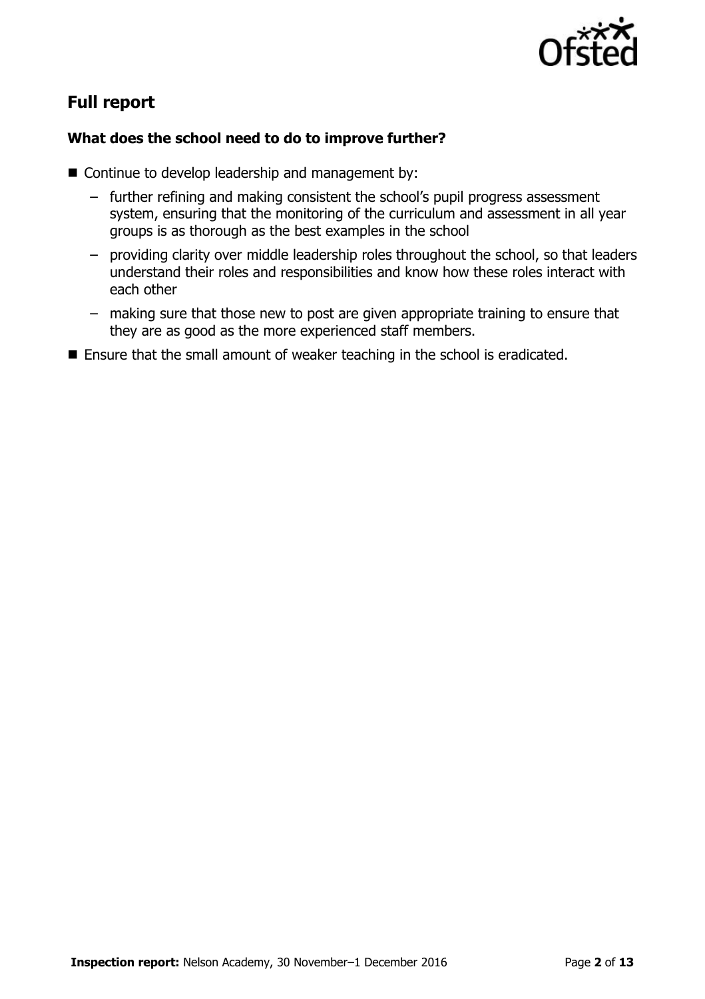

# **Full report**

### **What does the school need to do to improve further?**

- Continue to develop leadership and management by:
	- − further refining and making consistent the school"s pupil progress assessment system, ensuring that the monitoring of the curriculum and assessment in all year groups is as thorough as the best examples in the school
	- − providing clarity over middle leadership roles throughout the school, so that leaders understand their roles and responsibilities and know how these roles interact with each other
	- − making sure that those new to post are given appropriate training to ensure that they are as good as the more experienced staff members.
- **E** Ensure that the small amount of weaker teaching in the school is eradicated.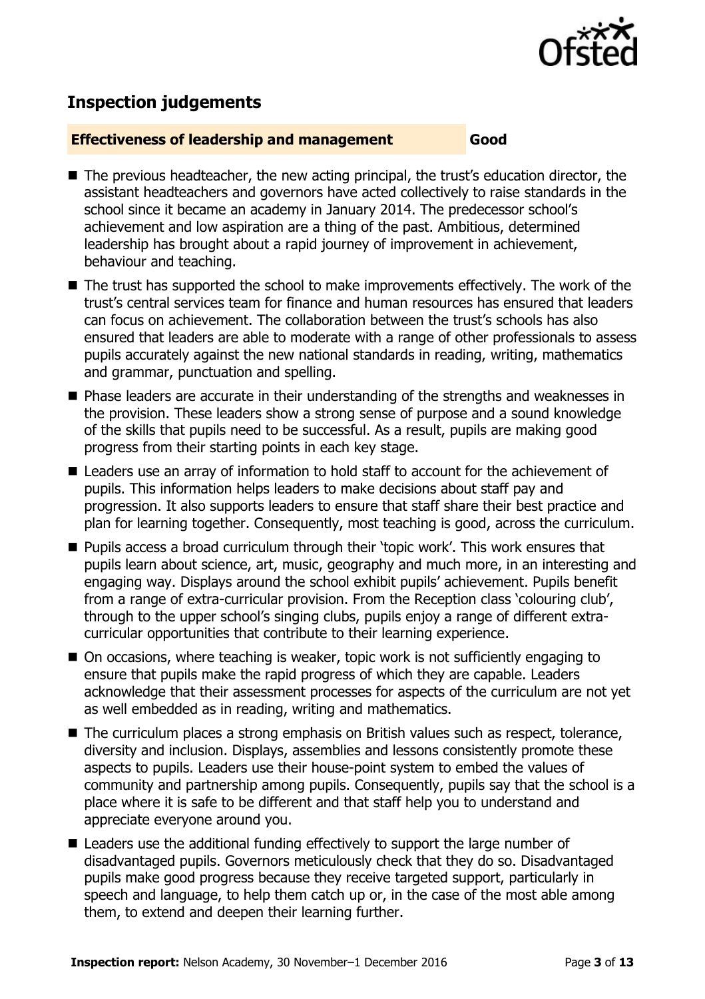

# **Inspection judgements**

#### **Effectiveness of leadership and management Good**

- The previous headteacher, the new acting principal, the trust's education director, the assistant headteachers and governors have acted collectively to raise standards in the school since it became an academy in January 2014. The predecessor school"s achievement and low aspiration are a thing of the past. Ambitious, determined leadership has brought about a rapid journey of improvement in achievement, behaviour and teaching.
- The trust has supported the school to make improvements effectively. The work of the trust"s central services team for finance and human resources has ensured that leaders can focus on achievement. The collaboration between the trust"s schools has also ensured that leaders are able to moderate with a range of other professionals to assess pupils accurately against the new national standards in reading, writing, mathematics and grammar, punctuation and spelling.
- Phase leaders are accurate in their understanding of the strengths and weaknesses in the provision. These leaders show a strong sense of purpose and a sound knowledge of the skills that pupils need to be successful. As a result, pupils are making good progress from their starting points in each key stage.
- Leaders use an array of information to hold staff to account for the achievement of pupils. This information helps leaders to make decisions about staff pay and progression. It also supports leaders to ensure that staff share their best practice and plan for learning together. Consequently, most teaching is good, across the curriculum.
- Pupils access a broad curriculum through their 'topic work'. This work ensures that pupils learn about science, art, music, geography and much more, in an interesting and engaging way. Displays around the school exhibit pupils" achievement. Pupils benefit from a range of extra-curricular provision. From the Reception class "colouring club", through to the upper school"s singing clubs, pupils enjoy a range of different extracurricular opportunities that contribute to their learning experience.
- On occasions, where teaching is weaker, topic work is not sufficiently engaging to ensure that pupils make the rapid progress of which they are capable. Leaders acknowledge that their assessment processes for aspects of the curriculum are not yet as well embedded as in reading, writing and mathematics.
- The curriculum places a strong emphasis on British values such as respect, tolerance, diversity and inclusion. Displays, assemblies and lessons consistently promote these aspects to pupils. Leaders use their house-point system to embed the values of community and partnership among pupils. Consequently, pupils say that the school is a place where it is safe to be different and that staff help you to understand and appreciate everyone around you.
- Leaders use the additional funding effectively to support the large number of disadvantaged pupils. Governors meticulously check that they do so. Disadvantaged pupils make good progress because they receive targeted support, particularly in speech and language, to help them catch up or, in the case of the most able among them, to extend and deepen their learning further.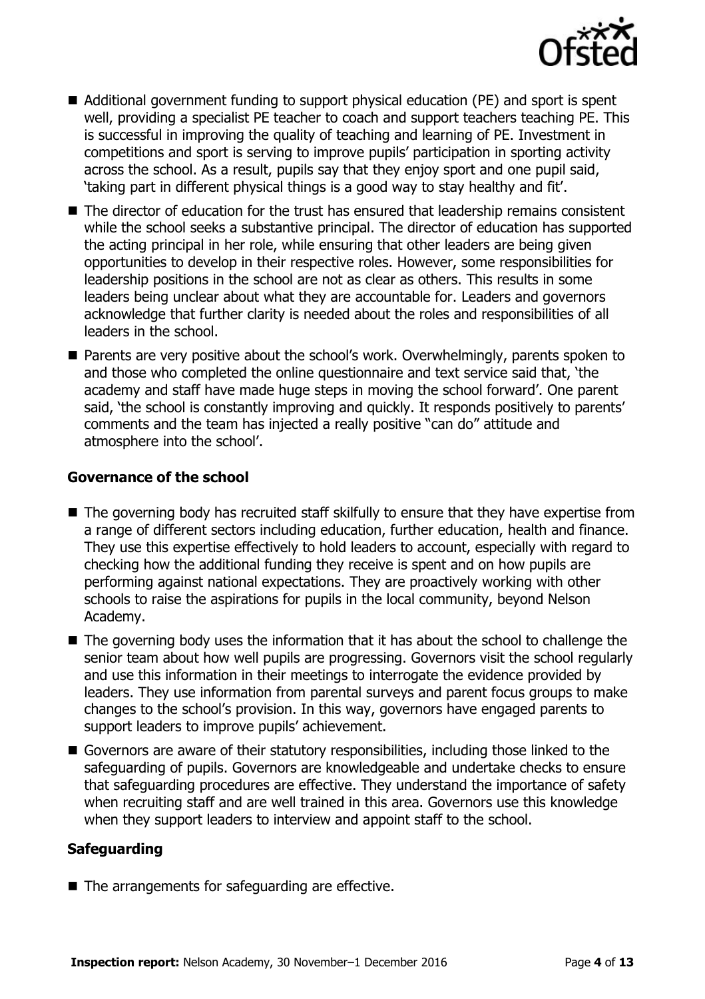

- Additional government funding to support physical education (PE) and sport is spent well, providing a specialist PE teacher to coach and support teachers teaching PE. This is successful in improving the quality of teaching and learning of PE. Investment in competitions and sport is serving to improve pupils" participation in sporting activity across the school. As a result, pupils say that they enjoy sport and one pupil said, "taking part in different physical things is a good way to stay healthy and fit".
- The director of education for the trust has ensured that leadership remains consistent while the school seeks a substantive principal. The director of education has supported the acting principal in her role, while ensuring that other leaders are being given opportunities to develop in their respective roles. However, some responsibilities for leadership positions in the school are not as clear as others. This results in some leaders being unclear about what they are accountable for. Leaders and governors acknowledge that further clarity is needed about the roles and responsibilities of all leaders in the school.
- **Parents are very positive about the school's work. Overwhelmingly, parents spoken to** and those who completed the online questionnaire and text service said that, "the academy and staff have made huge steps in moving the school forward'. One parent said, 'the school is constantly improving and quickly. It responds positively to parents' comments and the team has injected a really positive "can do" attitude and atmosphere into the school'.

#### **Governance of the school**

- The governing body has recruited staff skilfully to ensure that they have expertise from a range of different sectors including education, further education, health and finance. They use this expertise effectively to hold leaders to account, especially with regard to checking how the additional funding they receive is spent and on how pupils are performing against national expectations. They are proactively working with other schools to raise the aspirations for pupils in the local community, beyond Nelson Academy.
- The governing body uses the information that it has about the school to challenge the senior team about how well pupils are progressing. Governors visit the school regularly and use this information in their meetings to interrogate the evidence provided by leaders. They use information from parental surveys and parent focus groups to make changes to the school"s provision. In this way, governors have engaged parents to support leaders to improve pupils' achievement.
- Governors are aware of their statutory responsibilities, including those linked to the safeguarding of pupils. Governors are knowledgeable and undertake checks to ensure that safeguarding procedures are effective. They understand the importance of safety when recruiting staff and are well trained in this area. Governors use this knowledge when they support leaders to interview and appoint staff to the school.

#### **Safeguarding**

■ The arrangements for safeguarding are effective.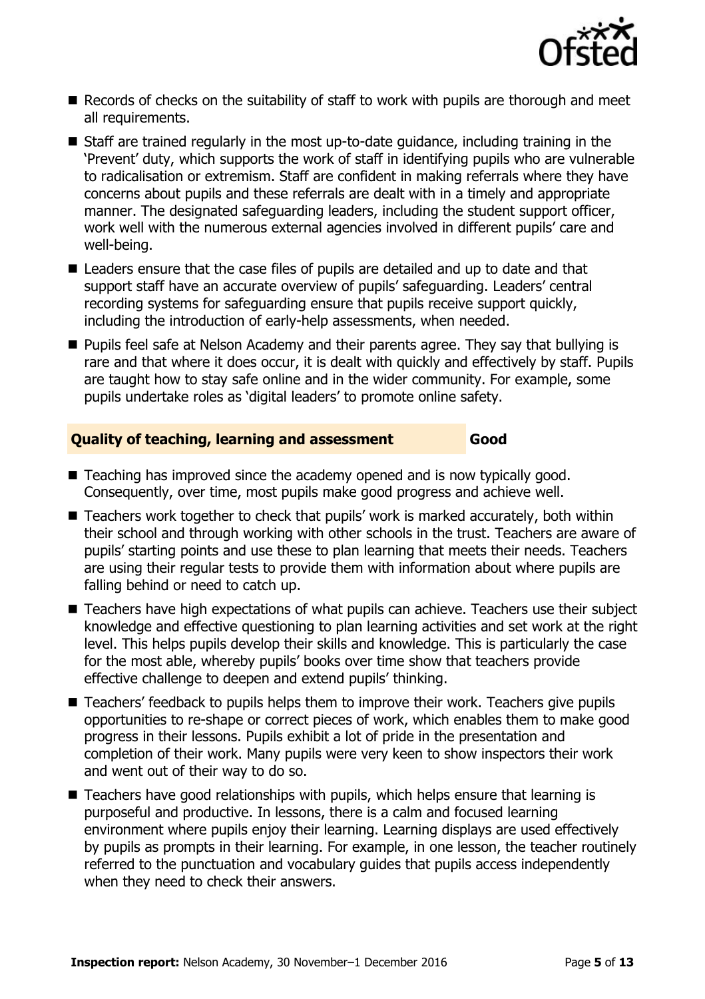

- $\blacksquare$  Records of checks on the suitability of staff to work with pupils are thorough and meet all requirements.
- Staff are trained regularly in the most up-to-date guidance, including training in the "Prevent" duty, which supports the work of staff in identifying pupils who are vulnerable to radicalisation or extremism. Staff are confident in making referrals where they have concerns about pupils and these referrals are dealt with in a timely and appropriate manner. The designated safeguarding leaders, including the student support officer, work well with the numerous external agencies involved in different pupils" care and well-being.
- Leaders ensure that the case files of pupils are detailed and up to date and that support staff have an accurate overview of pupils' safeguarding. Leaders' central recording systems for safeguarding ensure that pupils receive support quickly, including the introduction of early-help assessments, when needed.
- **Pupils feel safe at Nelson Academy and their parents agree. They say that bullying is** rare and that where it does occur, it is dealt with quickly and effectively by staff. Pupils are taught how to stay safe online and in the wider community. For example, some pupils undertake roles as "digital leaders" to promote online safety.

#### **Quality of teaching, learning and assessment Good**

- Teaching has improved since the academy opened and is now typically good. Consequently, over time, most pupils make good progress and achieve well.
- $\blacksquare$  Teachers work together to check that pupils' work is marked accurately, both within their school and through working with other schools in the trust. Teachers are aware of pupils" starting points and use these to plan learning that meets their needs. Teachers are using their regular tests to provide them with information about where pupils are falling behind or need to catch up.
- Teachers have high expectations of what pupils can achieve. Teachers use their subject knowledge and effective questioning to plan learning activities and set work at the right level. This helps pupils develop their skills and knowledge. This is particularly the case for the most able, whereby pupils" books over time show that teachers provide effective challenge to deepen and extend pupils' thinking.
- Teachers' feedback to pupils helps them to improve their work. Teachers give pupils opportunities to re-shape or correct pieces of work, which enables them to make good progress in their lessons. Pupils exhibit a lot of pride in the presentation and completion of their work. Many pupils were very keen to show inspectors their work and went out of their way to do so.
- Teachers have good relationships with pupils, which helps ensure that learning is purposeful and productive. In lessons, there is a calm and focused learning environment where pupils enjoy their learning. Learning displays are used effectively by pupils as prompts in their learning. For example, in one lesson, the teacher routinely referred to the punctuation and vocabulary guides that pupils access independently when they need to check their answers.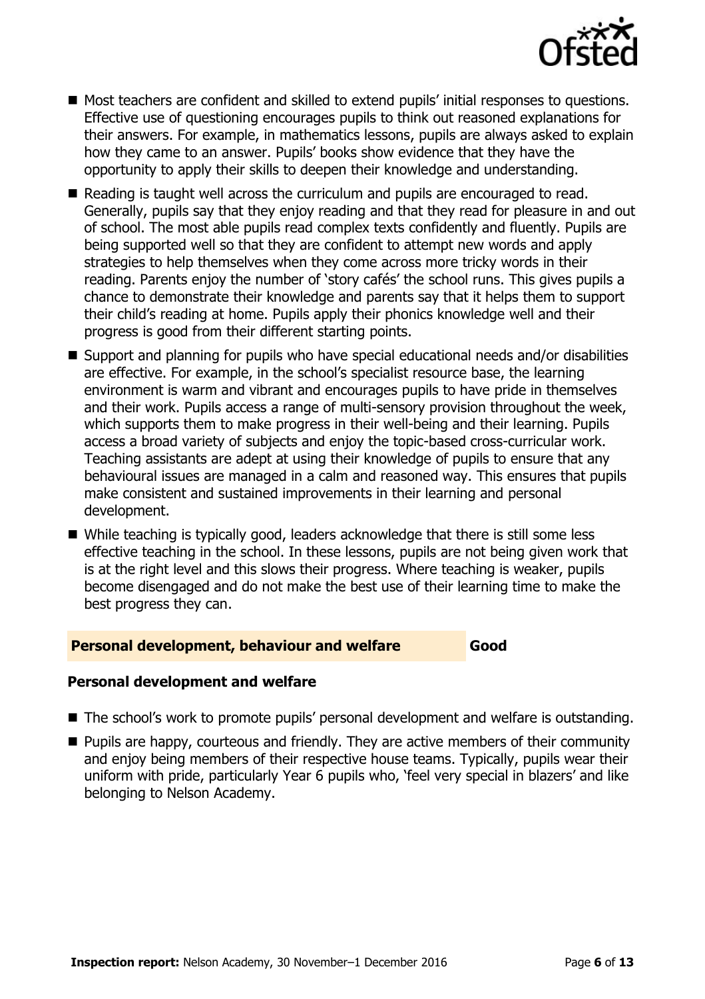

- Most teachers are confident and skilled to extend pupils' initial responses to questions. Effective use of questioning encourages pupils to think out reasoned explanations for their answers. For example, in mathematics lessons, pupils are always asked to explain how they came to an answer. Pupils" books show evidence that they have the opportunity to apply their skills to deepen their knowledge and understanding.
- Reading is taught well across the curriculum and pupils are encouraged to read. Generally, pupils say that they enjoy reading and that they read for pleasure in and out of school. The most able pupils read complex texts confidently and fluently. Pupils are being supported well so that they are confident to attempt new words and apply strategies to help themselves when they come across more tricky words in their reading. Parents enjoy the number of 'story cafés' the school runs. This gives pupils a chance to demonstrate their knowledge and parents say that it helps them to support their child"s reading at home. Pupils apply their phonics knowledge well and their progress is good from their different starting points.
- Support and planning for pupils who have special educational needs and/or disabilities are effective. For example, in the school's specialist resource base, the learning environment is warm and vibrant and encourages pupils to have pride in themselves and their work. Pupils access a range of multi-sensory provision throughout the week, which supports them to make progress in their well-being and their learning. Pupils access a broad variety of subjects and enjoy the topic-based cross-curricular work. Teaching assistants are adept at using their knowledge of pupils to ensure that any behavioural issues are managed in a calm and reasoned way. This ensures that pupils make consistent and sustained improvements in their learning and personal development.
- While teaching is typically good, leaders acknowledge that there is still some less effective teaching in the school. In these lessons, pupils are not being given work that is at the right level and this slows their progress. Where teaching is weaker, pupils become disengaged and do not make the best use of their learning time to make the best progress they can.

#### **Personal development, behaviour and welfare <b>Good**

## **Personal development and welfare**

- The school's work to promote pupils' personal development and welfare is outstanding.
- **Pupils are happy, courteous and friendly. They are active members of their community** and eniov being members of their respective house teams. Typically, pupils wear their uniform with pride, particularly Year 6 pupils who, 'feel very special in blazers' and like belonging to Nelson Academy.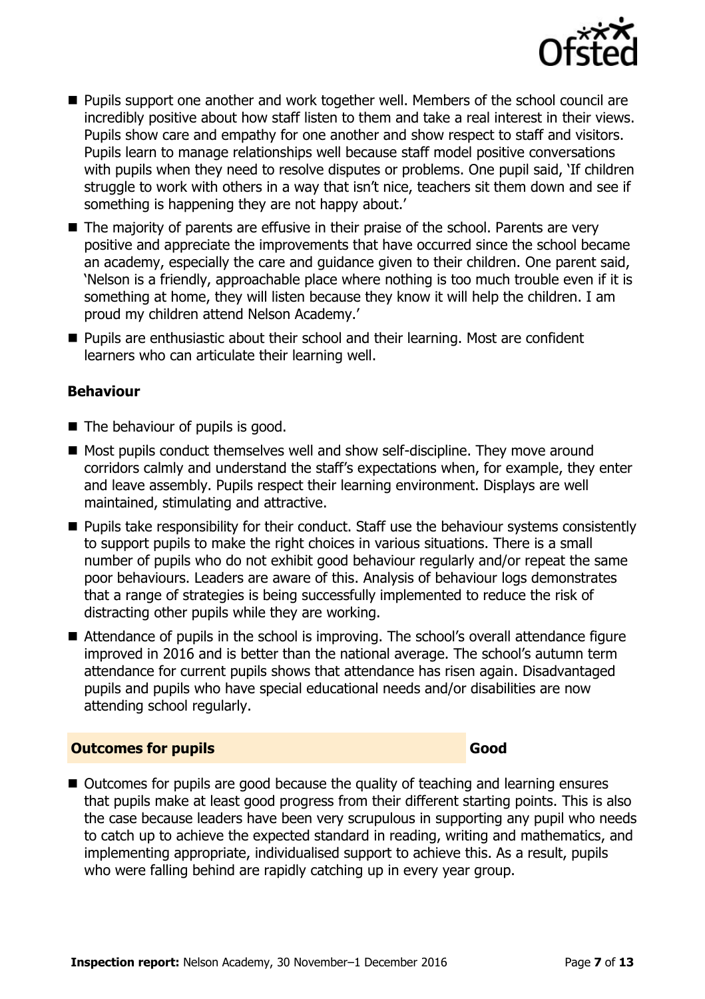

- Pupils support one another and work together well. Members of the school council are incredibly positive about how staff listen to them and take a real interest in their views. Pupils show care and empathy for one another and show respect to staff and visitors. Pupils learn to manage relationships well because staff model positive conversations with pupils when they need to resolve disputes or problems. One pupil said, "If children struggle to work with others in a way that isn't nice, teachers sit them down and see if something is happening they are not happy about.'
- The majority of parents are effusive in their praise of the school. Parents are very positive and appreciate the improvements that have occurred since the school became an academy, especially the care and guidance given to their children. One parent said, "Nelson is a friendly, approachable place where nothing is too much trouble even if it is something at home, they will listen because they know it will help the children. I am proud my children attend Nelson Academy."
- Pupils are enthusiastic about their school and their learning. Most are confident learners who can articulate their learning well.

#### **Behaviour**

- The behaviour of pupils is good.
- Most pupils conduct themselves well and show self-discipline. They move around corridors calmly and understand the staff"s expectations when, for example, they enter and leave assembly. Pupils respect their learning environment. Displays are well maintained, stimulating and attractive.
- **Pupils take responsibility for their conduct. Staff use the behaviour systems consistently** to support pupils to make the right choices in various situations. There is a small number of pupils who do not exhibit good behaviour regularly and/or repeat the same poor behaviours. Leaders are aware of this. Analysis of behaviour logs demonstrates that a range of strategies is being successfully implemented to reduce the risk of distracting other pupils while they are working.
- Attendance of pupils in the school is improving. The school's overall attendance figure improved in 2016 and is better than the national average. The school"s autumn term attendance for current pupils shows that attendance has risen again. Disadvantaged pupils and pupils who have special educational needs and/or disabilities are now attending school regularly.

#### **Outcomes for pupils Good**

■ Outcomes for pupils are good because the quality of teaching and learning ensures that pupils make at least good progress from their different starting points. This is also the case because leaders have been very scrupulous in supporting any pupil who needs to catch up to achieve the expected standard in reading, writing and mathematics, and implementing appropriate, individualised support to achieve this. As a result, pupils who were falling behind are rapidly catching up in every year group.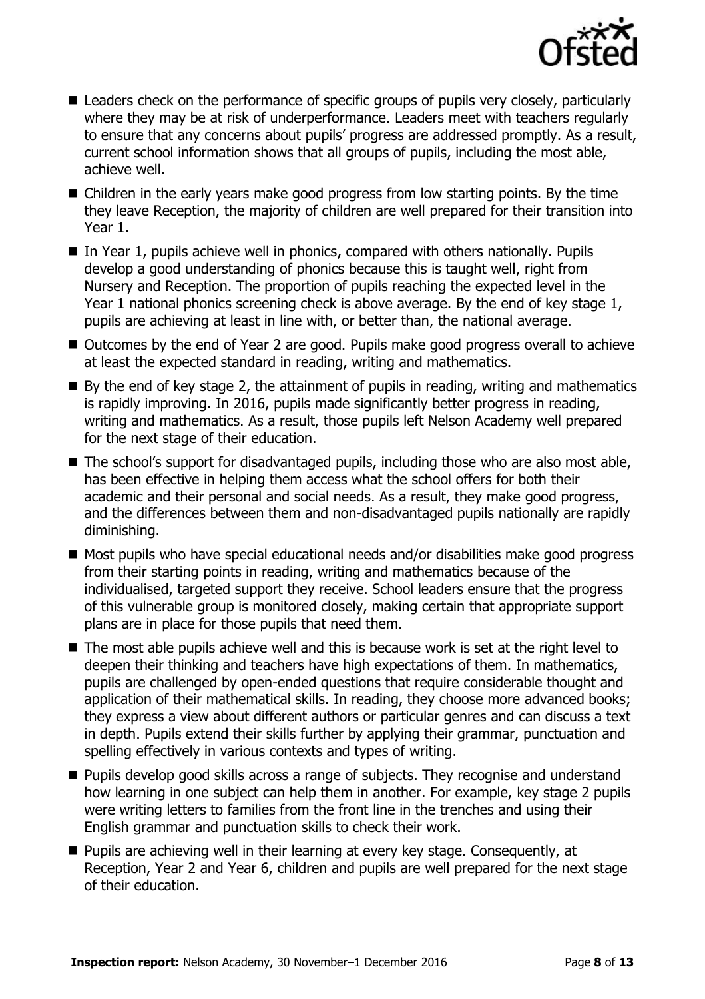

- Leaders check on the performance of specific groups of pupils very closely, particularly where they may be at risk of underperformance. Leaders meet with teachers regularly to ensure that any concerns about pupils" progress are addressed promptly. As a result, current school information shows that all groups of pupils, including the most able, achieve well.
- Children in the early years make good progress from low starting points. By the time they leave Reception, the majority of children are well prepared for their transition into Year 1.
- $\blacksquare$  In Year 1, pupils achieve well in phonics, compared with others nationally. Pupils develop a good understanding of phonics because this is taught well, right from Nursery and Reception. The proportion of pupils reaching the expected level in the Year 1 national phonics screening check is above average. By the end of key stage 1, pupils are achieving at least in line with, or better than, the national average.
- Outcomes by the end of Year 2 are good. Pupils make good progress overall to achieve at least the expected standard in reading, writing and mathematics.
- $\blacksquare$  By the end of key stage 2, the attainment of pupils in reading, writing and mathematics is rapidly improving. In 2016, pupils made significantly better progress in reading, writing and mathematics. As a result, those pupils left Nelson Academy well prepared for the next stage of their education.
- The school's support for disadvantaged pupils, including those who are also most able, has been effective in helping them access what the school offers for both their academic and their personal and social needs. As a result, they make good progress, and the differences between them and non-disadvantaged pupils nationally are rapidly diminishing.
- Most pupils who have special educational needs and/or disabilities make good progress from their starting points in reading, writing and mathematics because of the individualised, targeted support they receive. School leaders ensure that the progress of this vulnerable group is monitored closely, making certain that appropriate support plans are in place for those pupils that need them.
- The most able pupils achieve well and this is because work is set at the right level to deepen their thinking and teachers have high expectations of them. In mathematics, pupils are challenged by open-ended questions that require considerable thought and application of their mathematical skills. In reading, they choose more advanced books; they express a view about different authors or particular genres and can discuss a text in depth. Pupils extend their skills further by applying their grammar, punctuation and spelling effectively in various contexts and types of writing.
- **Pupils develop good skills across a range of subjects. They recognise and understand** how learning in one subject can help them in another. For example, key stage 2 pupils were writing letters to families from the front line in the trenches and using their English grammar and punctuation skills to check their work.
- **Pupils are achieving well in their learning at every key stage. Consequently, at** Reception, Year 2 and Year 6, children and pupils are well prepared for the next stage of their education.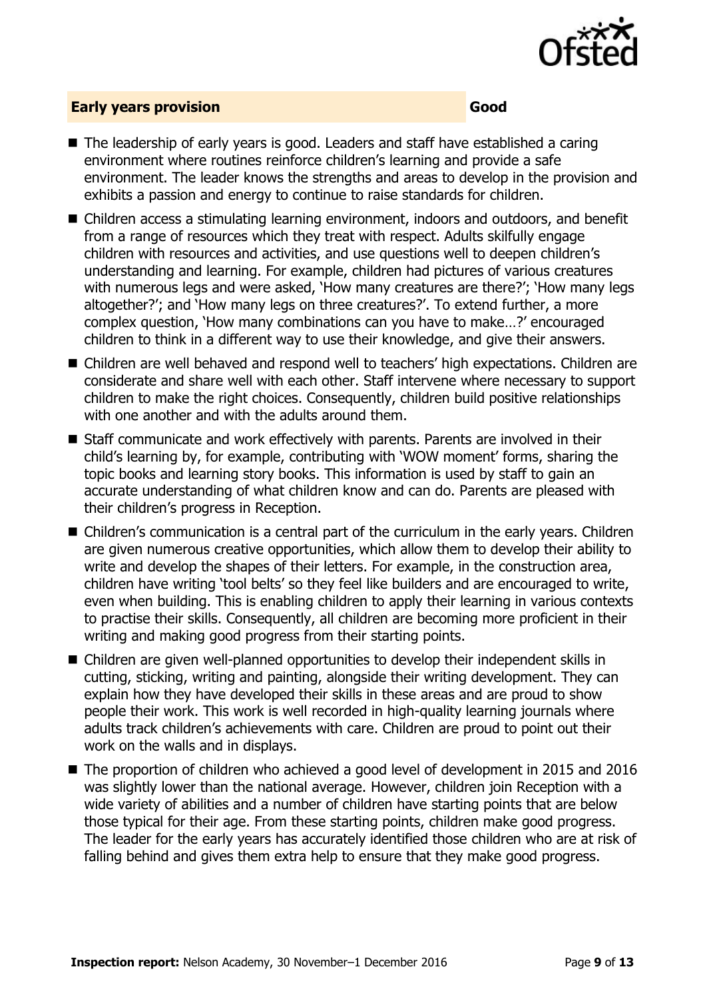

### **Early years provision Good**

- The leadership of early years is good. Leaders and staff have established a caring environment where routines reinforce children"s learning and provide a safe environment. The leader knows the strengths and areas to develop in the provision and exhibits a passion and energy to continue to raise standards for children.
- Children access a stimulating learning environment, indoors and outdoors, and benefit from a range of resources which they treat with respect. Adults skilfully engage children with resources and activities, and use questions well to deepen children"s understanding and learning. For example, children had pictures of various creatures with numerous legs and were asked, 'How many creatures are there?'; 'How many legs altogether?"; and "How many legs on three creatures?". To extend further, a more complex question, "How many combinations can you have to make…?" encouraged children to think in a different way to use their knowledge, and give their answers.
- Children are well behaved and respond well to teachers' high expectations. Children are considerate and share well with each other. Staff intervene where necessary to support children to make the right choices. Consequently, children build positive relationships with one another and with the adults around them.
- Staff communicate and work effectively with parents. Parents are involved in their child"s learning by, for example, contributing with "WOW moment" forms, sharing the topic books and learning story books. This information is used by staff to gain an accurate understanding of what children know and can do. Parents are pleased with their children"s progress in Reception.
- Children's communication is a central part of the curriculum in the early years. Children are given numerous creative opportunities, which allow them to develop their ability to write and develop the shapes of their letters. For example, in the construction area, children have writing "tool belts" so they feel like builders and are encouraged to write, even when building. This is enabling children to apply their learning in various contexts to practise their skills. Consequently, all children are becoming more proficient in their writing and making good progress from their starting points.
- Children are given well-planned opportunities to develop their independent skills in cutting, sticking, writing and painting, alongside their writing development. They can explain how they have developed their skills in these areas and are proud to show people their work. This work is well recorded in high-quality learning journals where adults track children's achievements with care. Children are proud to point out their work on the walls and in displays.
- The proportion of children who achieved a good level of development in 2015 and 2016 was slightly lower than the national average. However, children join Reception with a wide variety of abilities and a number of children have starting points that are below those typical for their age. From these starting points, children make good progress. The leader for the early years has accurately identified those children who are at risk of falling behind and gives them extra help to ensure that they make good progress.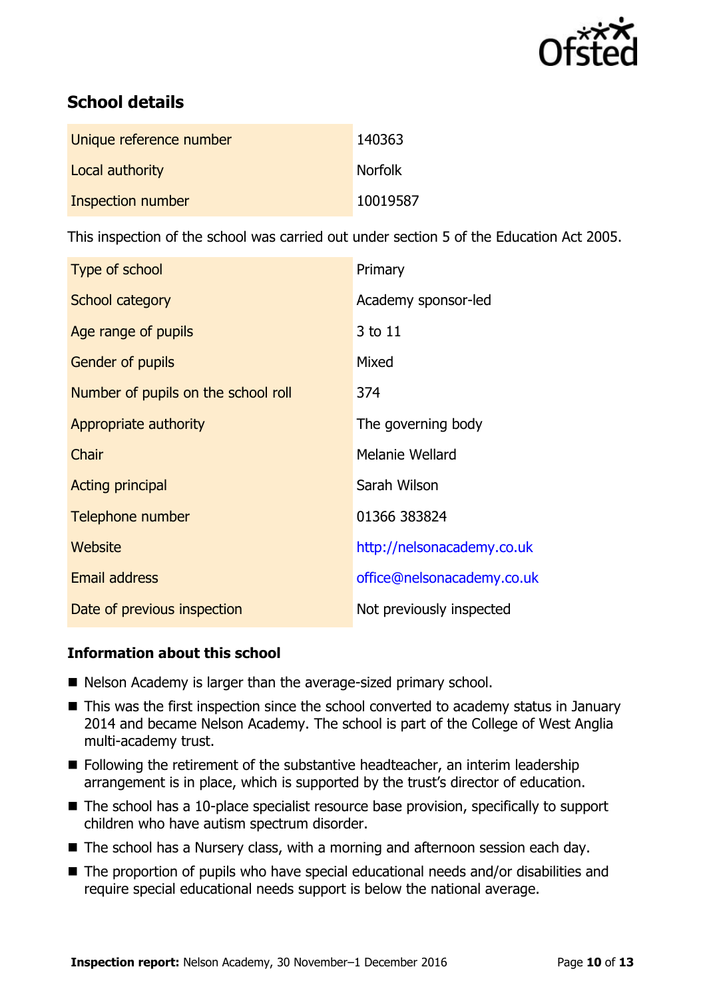

# **School details**

| Unique reference number | 140363         |
|-------------------------|----------------|
| Local authority         | <b>Norfolk</b> |
| Inspection number       | 10019587       |

This inspection of the school was carried out under section 5 of the Education Act 2005.

| Type of school                      | Primary                    |
|-------------------------------------|----------------------------|
| School category                     | Academy sponsor-led        |
| Age range of pupils                 | 3 to 11                    |
| Gender of pupils                    | Mixed                      |
| Number of pupils on the school roll | 374                        |
| Appropriate authority               | The governing body         |
| Chair                               | Melanie Wellard            |
| <b>Acting principal</b>             | Sarah Wilson               |
| Telephone number                    | 01366 383824               |
| <b>Website</b>                      | http://nelsonacademy.co.uk |
| <b>Email address</b>                | office@nelsonacademy.co.uk |
| Date of previous inspection         | Not previously inspected   |

### **Information about this school**

- Nelson Academy is larger than the average-sized primary school.
- This was the first inspection since the school converted to academy status in January 2014 and became Nelson Academy. The school is part of the College of West Anglia multi-academy trust.
- Following the retirement of the substantive headteacher, an interim leadership arrangement is in place, which is supported by the trust's director of education.
- The school has a 10-place specialist resource base provision, specifically to support children who have autism spectrum disorder.
- The school has a Nursery class, with a morning and afternoon session each day.
- The proportion of pupils who have special educational needs and/or disabilities and require special educational needs support is below the national average.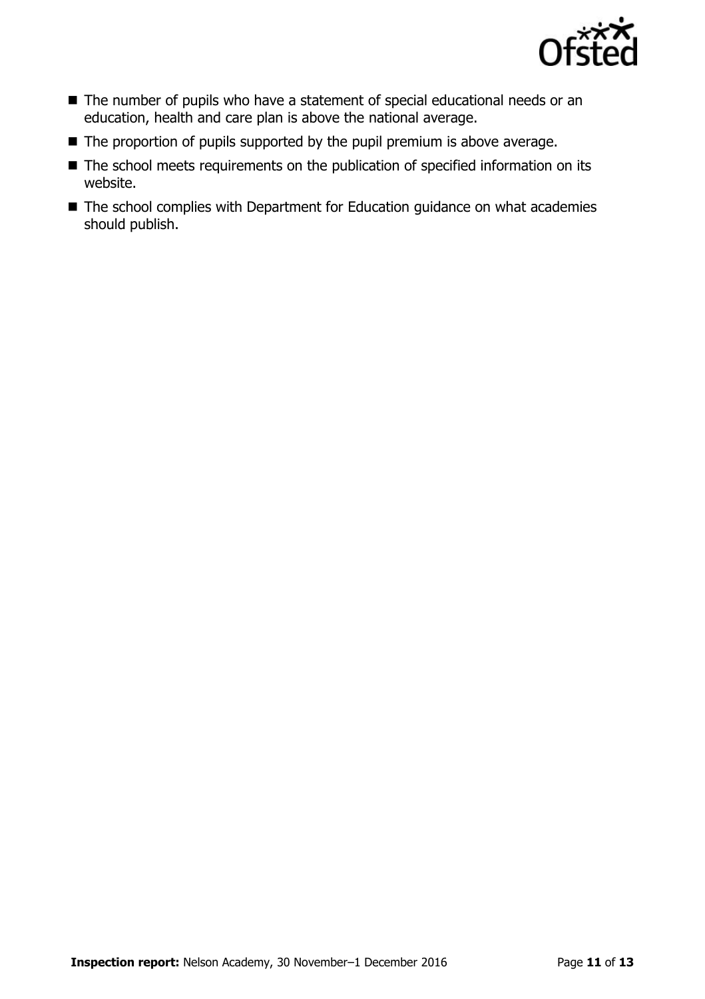

- The number of pupils who have a statement of special educational needs or an education, health and care plan is above the national average.
- $\blacksquare$  The proportion of pupils supported by the pupil premium is above average.
- The school meets requirements on the publication of specified information on its website.
- The school complies with Department for Education guidance on what academies should publish.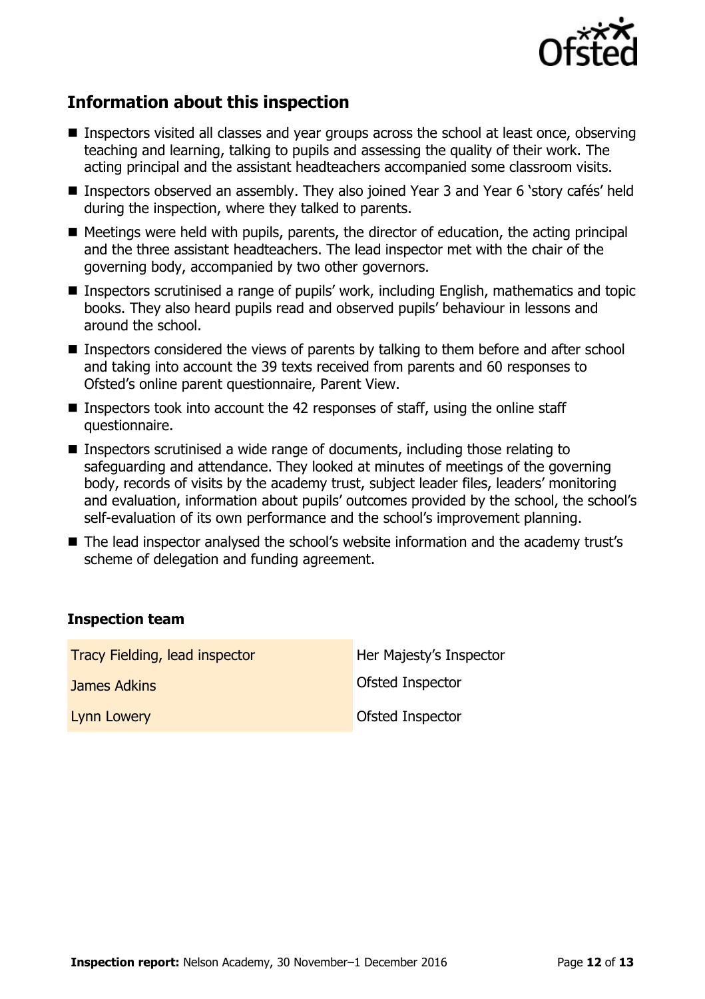

# **Information about this inspection**

- Inspectors visited all classes and year groups across the school at least once, observing teaching and learning, talking to pupils and assessing the quality of their work. The acting principal and the assistant headteachers accompanied some classroom visits.
- Inspectors observed an assembly. They also joined Year 3 and Year 6 'story cafés' held during the inspection, where they talked to parents.
- Meetings were held with pupils, parents, the director of education, the acting principal and the three assistant headteachers. The lead inspector met with the chair of the governing body, accompanied by two other governors.
- Inspectors scrutinised a range of pupils' work, including English, mathematics and topic books. They also heard pupils read and observed pupils" behaviour in lessons and around the school.
- **Inspectors considered the views of parents by talking to them before and after school** and taking into account the 39 texts received from parents and 60 responses to Ofsted"s online parent questionnaire, Parent View.
- **Inspectors took into account the 42 responses of staff, using the online staff** questionnaire.
- Inspectors scrutinised a wide range of documents, including those relating to safeguarding and attendance. They looked at minutes of meetings of the governing body, records of visits by the academy trust, subject leader files, leaders' monitoring and evaluation, information about pupils' outcomes provided by the school, the school's self-evaluation of its own performance and the school's improvement planning.
- The lead inspector analysed the school's website information and the academy trust's scheme of delegation and funding agreement.

#### **Inspection team**

| Tracy Fielding, lead inspector | Her Majesty's Inspector |
|--------------------------------|-------------------------|
| James Adkins                   | Ofsted Inspector        |
| Lynn Lowery                    | Ofsted Inspector        |